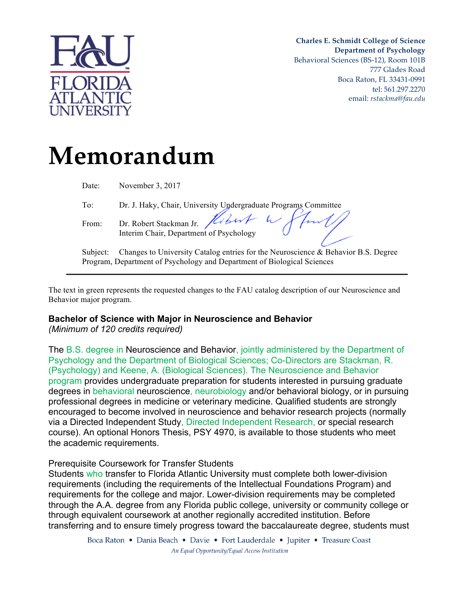

**Charles E. Schmidt College of Science Department of Psychology** Behavioral Sciences (BS-12), Room 101B 777 Glades Road Boca Raton, FL 33431-0991 tel: 561.297.2270 email: *rstackma@fau.edu*

# **Memorandum**

| Date:    | November 3, 2017                                                                  |
|----------|-----------------------------------------------------------------------------------|
| To:      | Dr. J. Haky, Chair, University Undergraduate Programs Committee                   |
| From:    | Dr. Robert Stackman Jr. Holand L. Hunt                                            |
| Subject: | Changes to University Catalog entries for the Neuroscience & Behavior B.S. Degree |
|          | Program, Department of Psychology and Department of Biological Sciences           |
|          |                                                                                   |

The text in green represents the requested changes to the FAU catalog description of our Neuroscience and Behavior major program.

## **Bachelor of Science with Major in Neuroscience and Behavior**

*(Minimum of 120 credits required)* 

The B.S. degree in Neuroscience and Behavior, jointly administered by the Department of Psychology and the Department of Biological Sciences; Co-Directors are Stackman, R. (Psychology) and Keene, A. (Biological Sciences). The Neuroscience and Behavior program provides undergraduate preparation for students interested in pursuing graduate degrees in behavioral neuroscience, neurobiology and/or behavioral biology, or in pursuing professional degrees in medicine or veterinary medicine. Qualified students are strongly encouraged to become involved in neuroscience and behavior research projects (normally via a Directed Independent Study, Directed Independent Research, or special research course). An optional Honors Thesis, PSY 4970, is available to those students who meet the academic requirements.

## Prerequisite Coursework for Transfer Students

Students who transfer to Florida Atlantic University must complete both lower-division requirements (including the requirements of the Intellectual Foundations Program) and requirements for the college and major. Lower-division requirements may be completed through the A.A. degree from any Florida public college, university or community college or through equivalent coursework at another regionally accredited institution. Before transferring and to ensure timely progress toward the baccalaureate degree, students must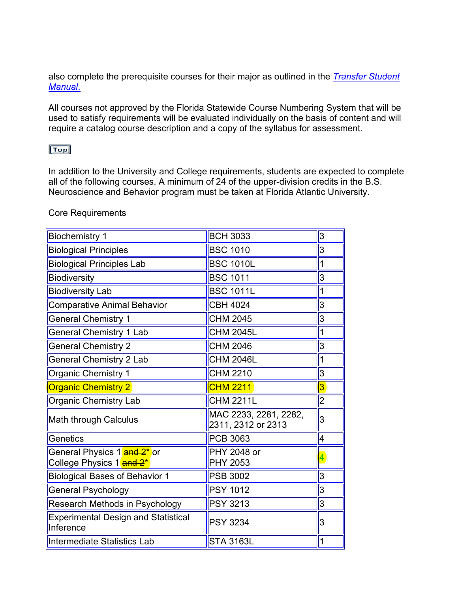also complete the prerequisite courses for their major as outlined in the *Transfer Student Manual*.

All courses not approved by the Florida Statewide Course Numbering System that will be used to satisfy requirements will be evaluated individually on the basis of content and will require a catalog course description and a copy of the syllabus for assessment.

## $Top$

In addition to the University and College requirements, students are expected to complete all of the following courses. A minimum of 24 of the upper-division credits in the B.S. Neuroscience and Behavior program must be taken at Florida Atlantic University.

#### Core Requirements

| <b>Biochemistry 1</b>                                                             | <b>BCH 3033</b>                             | $\overline{3}$          |
|-----------------------------------------------------------------------------------|---------------------------------------------|-------------------------|
| <b>Biological Principles</b>                                                      | <b>BSC 1010</b>                             | $\overline{3}$          |
| <b>Biological Principles Lab</b>                                                  | <b>BSC 1010L</b>                            | 1                       |
| <b>Biodiversity</b>                                                               | <b>BSC 1011</b>                             | 3                       |
| <b>Biodiversity Lab</b>                                                           | <b>BSC 1011L</b>                            | 1                       |
| <b>Comparative Animal Behavior</b>                                                | <b>CBH 4024</b>                             | $\overline{3}$          |
| <b>General Chemistry 1</b>                                                        | <b>CHM 2045</b>                             | $\overline{3}$          |
| <b>General Chemistry 1 Lab</b>                                                    | <b>CHM 2045L</b>                            | $\overline{1}$          |
| <b>General Chemistry 2</b>                                                        | <b>CHM 2046</b>                             | $\overline{3}$          |
| <b>General Chemistry 2 Lab</b>                                                    | <b>CHM 2046L</b>                            | 1                       |
| Organic Chemistry 1                                                               | <b>CHM 2210</b>                             | $\overline{3}$          |
| <b>Organic Chemistry 2</b>                                                        | <b>CHM 2211</b>                             | $\overline{\mathbf{3}}$ |
| <b>Organic Chemistry Lab</b>                                                      | <b>CHM 2211L</b>                            | $\overline{2}$          |
| Math through Calculus                                                             | MAC 2233, 2281, 2282,<br>2311, 2312 or 2313 | $\overline{3}$          |
| Genetics                                                                          | PCB 3063                                    | 4                       |
| General Physics 1 <mark>and 2*</mark> or<br>College Physics 1 <mark>and 2*</mark> | PHY 2048 or<br>PHY 2053                     | 4                       |
| <b>Biological Bases of Behavior 1</b>                                             | <b>PSB 3002</b>                             | $\overline{3}$          |
| <b>General Psychology</b>                                                         | <b>PSY 1012</b>                             | $\overline{3}$          |
| Research Methods in Psychology                                                    | <b>PSY 3213</b>                             | 3                       |
| <b>Experimental Design and Statistical</b><br>Inference                           | <b>PSY 3234</b>                             | $\overline{3}$          |
| Intermediate Statistics Lab                                                       | <b>STA 3163L</b>                            | $\overline{1}$          |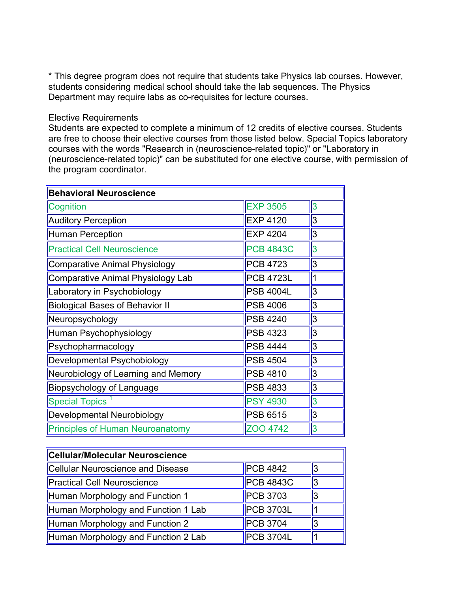\* This degree program does not require that students take Physics lab courses. However, students considering medical school should take the lab sequences. The Physics Department may require labs as co-requisites for lecture courses.

#### Elective Requirements

Students are expected to complete a minimum of 12 credits of elective courses. Students are free to choose their elective courses from those listed below. Special Topics laboratory courses with the words "Research in (neuroscience-related topic)" or "Laboratory in (neuroscience-related topic)" can be substituted for one elective course, with permission of the program coordinator.

| <b>Behavioral Neuroscience</b>           |                  |   |  |
|------------------------------------------|------------------|---|--|
| Cognition                                | <b>EXP 3505</b>  | 3 |  |
| <b>Auditory Perception</b>               | <b>EXP 4120</b>  | 3 |  |
| <b>Human Perception</b>                  | <b>EXP 4204</b>  | 3 |  |
| <b>Practical Cell Neuroscience</b>       | <b>PCB 4843C</b> | 3 |  |
| <b>Comparative Animal Physiology</b>     | <b>PCB 4723</b>  | 3 |  |
| <b>Comparative Animal Physiology Lab</b> | <b>PCB 4723L</b> |   |  |
| Laboratory in Psychobiology              | <b>PSB 4004L</b> | 3 |  |
| <b>Biological Bases of Behavior II</b>   | <b>PSB 4006</b>  | 3 |  |
| Neuropsychology                          | <b>PSB 4240</b>  | 3 |  |
| Human Psychophysiology                   | PSB 4323         | 3 |  |
| Psychopharmacology                       | <b>PSB 4444</b>  | 3 |  |
| Developmental Psychobiology              | <b>PSB 4504</b>  | 3 |  |
| Neurobiology of Learning and Memory      | <b>PSB 4810</b>  | 3 |  |
| Biopsychology of Language                | <b>PSB 4833</b>  | 3 |  |
| <b>Special Topics</b>                    | <b>PSY 4930</b>  | 3 |  |
| Developmental Neurobiology               | <b>PSB 6515</b>  | 3 |  |
| <b>Principles of Human Neuroanatomy</b>  | ZOO 4742         | 3 |  |

| <b>Cellular/Molecular Neuroscience</b> |                  |  |  |
|----------------------------------------|------------------|--|--|
| Cellular Neuroscience and Disease      | <b>PCB 4842</b>  |  |  |
| <b>Practical Cell Neuroscience</b>     | $PCB$ 4843C      |  |  |
| Human Morphology and Function 1        | <b>PCB 3703</b>  |  |  |
| Human Morphology and Function 1 Lab    | <b>PCB 3703L</b> |  |  |
| Human Morphology and Function 2        | <b>PCB 3704</b>  |  |  |
| Human Morphology and Function 2 Lab    | <b>PCB 3704L</b> |  |  |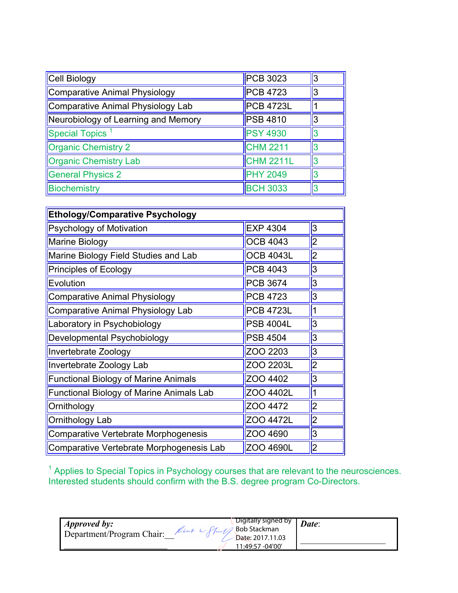| Cell Biology                        | <b>PCB 3023</b>  | 13 |
|-------------------------------------|------------------|----|
| Comparative Animal Physiology       | $PCB$ 4723       | 13 |
| Comparative Animal Physiology Lab   | <b>PCB 4723L</b> |    |
| Neurobiology of Learning and Memory | <b>PSB 4810</b>  | l3 |
| <b>Special Topics</b>               | <b>PSY 4930</b>  |    |
| Organic Chemistry 2                 | CHM 2211         |    |
| <b>Organic Chemistry Lab</b>        | <b>CHM 2211L</b> |    |
| <b>General Physics 2</b>            | <b>PHY 2049</b>  |    |
| Biochemistry                        | <b>BCH 3033</b>  |    |

| <b>Ethology/Comparative Psychology</b>          |                  |                |
|-------------------------------------------------|------------------|----------------|
| Psychology of Motivation                        | <b>EXP 4304</b>  | $\overline{3}$ |
| Marine Biology                                  | <b>OCB 4043</b>  | 2              |
| Marine Biology Field Studies and Lab            | <b>OCB 4043L</b> | $\overline{2}$ |
| Principles of Ecology                           | <b>PCB 4043</b>  | $\overline{3}$ |
| Evolution                                       | <b>PCB 3674</b>  | $\overline{3}$ |
| <b>Comparative Animal Physiology</b>            | <b>PCB 4723</b>  | 3              |
| <b>Comparative Animal Physiology Lab</b>        | <b>PCB 4723L</b> |                |
| Laboratory in Psychobiology                     | <b>PSB 4004L</b> | $\overline{3}$ |
| Developmental Psychobiology                     | <b>PSB 4504</b>  | $\overline{3}$ |
| Invertebrate Zoology                            | ZOO 2203         | $\overline{3}$ |
| Invertebrate Zoology Lab                        | ZOO 2203L        | $\overline{2}$ |
| <b>Functional Biology of Marine Animals</b>     | ZOO 4402         | 3              |
| <b>Functional Biology of Marine Animals Lab</b> | ZOO 4402L        | 1              |
| Ornithology                                     | ZOO 4472         | 2              |
| Ornithology Lab                                 | ZOO 4472L        | 2              |
| Comparative Vertebrate Morphogenesis            | ZOO 4690         | 3              |
| Comparative Vertebrate Morphogenesis Lab        | ZOO 4690L        | 2              |

 $1$  Applies to Special Topics in Psychology courses that are relevant to the neurosciences. Interested students should confirm with the B.S. degree program Co-Directors.

| <i>Approved by:</i><br>Department/Program Chair: | Ribert W Start Bob Stackman | Digitally signed by T                | Date: |
|--------------------------------------------------|-----------------------------|--------------------------------------|-------|
|                                                  |                             | Date: 2017.11.03<br>11:49:57 -04'00' |       |